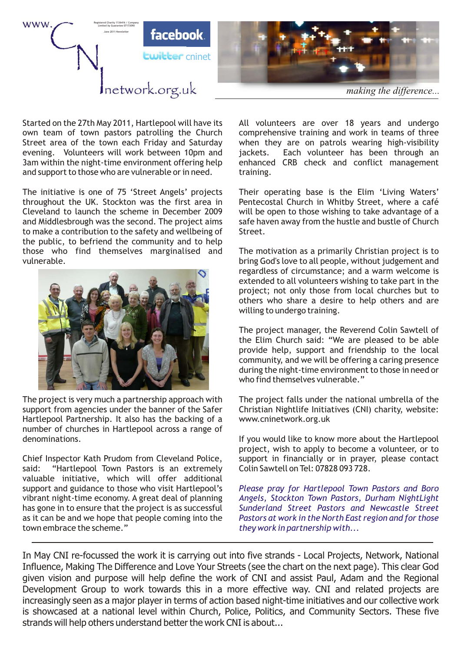

own team of town pastors patrolling the Church comprehensive training and work in teams of three<br>Street area of the town each Friday and Saturday vertion they are on patrols wearing high-visibility evening. Volunteers will work between 10pm and iackets. 3am within the night-time environment offering help enhanced CRB check and conflict management and support to those who are vulnerable or in need. training.

throughout the UK. Stockton was the first area in Pentecostal Church in Whitby Street, where a café Cleveland to launch the scheme in December 2009 will be open to those wishing to take advantage of a and Middlesbrough was the second. The project aims safe haven away from the hustle and bustle of Church to make a contribution to the safety and wellbeing of Street. the public, to befriend the community and to help those who find themselves marginalised and The motivation as a primarily Christian project is to vulnerable. bring God's love to all people, without judgement and



support from agencies under the banner of the Safer Christian Nightlife Initiatives (CNI) charity, website: Hartlepool Partnership. It also has the backing of a www.cninetwork.org.uk number of churches in Hartlepool across a range of denominations. The intervals of the Hartlepool of the Hartlepool of the Hartlepool of the Hartlepool of the Hartlepool

Chief Inspector Kath Prudom from Cleveland Police, support in financially or in prayer, please contact said: "Hartlepool Town Pastors is an extremely Colin Sawtell on Tel: 07828 093 728. valuable initiative, which will offer additional support and guidance to those who visit Hartlepool's vibrant night-time economy. A great deal of planning has gone in to ensure that the project is as successful as it can be and we hope that people coming into the town embrace the scheme."

Started on the 27th May 2011, Hartlepool will have its All volunteers are over 18 years and undergo when they are on patrols wearing high-visibility jackets. Each volunteer has been through an

The initiative is one of 75 'Street Angels' projects Their operating base is the Elim 'Living Waters'

regardless of circumstance; and a warm welcome is extended to all volunteers wishing to take part in the project; not only those from local churches but to others who share a desire to help others and are willing to undergo training.

The project manager, the Reverend Colin Sawtell of the Elim Church said: "We are pleased to be able provide help, support and friendship to the local community, and we will be offering a caring presence during the night-time environment to those in need or who find themselves vulnerable."

The project is very much a partnership approach with The project falls under the national umbrella of the

project, wish to apply to become a volunteer, or to

*Please pray for Hartlepool Town Pastors and Boro Angels, Stockton Town Pastors, Durham NightLight Sunderland Street Pastors and Newcastle Street Pastors at work in the North East region and for those they work in partnership with...* 

In May CNI re-focussed the work it is carrying out into five strands - Local Projects, Network, National Influence, Making The Difference and Love Your Streets (see the chart on the next page). This clear God given vision and purpose will help define the work of CNI and assist Paul, Adam and the Regional Development Group to work towards this in a more effective way. CNI and related projects are increasingly seen as a major player in terms of action based night-time initiatives and our collective work is showcased at a national level within Church, Police, Politics, and Community Sectors. These five strands will help others understand better the work CNI is about...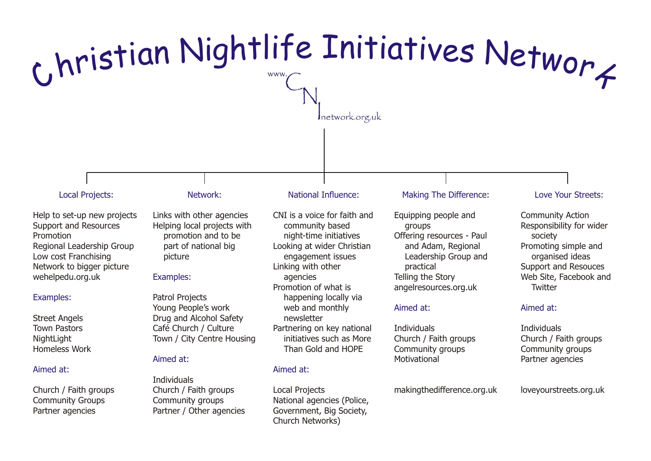

Street Angels Town Pastors NightLight Homeless Work

### Aimed at:

Church / Faith groups Community Groups Partner agencies

Young People's work Drug and Alcohol Safety Café Church / Culture Town / City Centre Housing

#### Aimed at:

**Individuals** Church / Faith groups Community groups Partner / Other agencies

web and monthly newsletter Partnering on key national initiatives such as More Than Gold and HOPE

#### Aimed at:

Local Projects National agencies (Police, Government, Big Society, Church Networks)

#### Aimed at:

**Individuals** Church / Faith groups Community groups Motivational

makingthedifference.org.uk

#### Aimed at:

**Individuals** Church / Faith groups Community groups Partner agencies

loveyourstreets.org.uk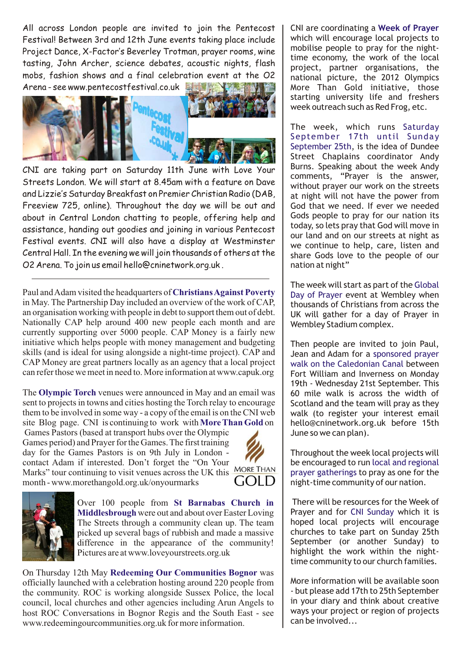All across London people are invited to join the Pentecost Festival! Between 3rd and 12th June events taking place include Project Dance, X-Factor's Beverley Trotman, prayer rooms, wine tasting, John Archer, science debates, acoustic nights, flash mobs, fashion shows and a final celebration event at the O2 Arena - see www.pentecostfestival.co.uk



CNI are taking part on Saturday 11th June with Love Your Streets London. We will start at 8.45am with a feature on Dave and Lizzie's Saturday Breakfast on Premier Christian Radio (DAB, Freeview 725, online). Throughout the day we will be out and about in Central London chatting to people, offering help and assistance, handing out goodies and joining in various Pentecost Festival events. CNI will also have a display at Westminster Central Hall. In the evening we will join thousands of others at the O2 Arena. To join us email hello@cninetwork.org.uk .

Paul and Adam visited the headquarters of **Christians Against Poverty** in May. The Partnership Day included an overview of the work of CAP, an organisation working with people in debt to support them out of debt. Nationally CAP help around 400 new people each month and are currently supporting over 5000 people. CAP Money is a fairly new initiative which helps people with money management and budgeting skills (and is ideal for using alongside a night-time project). CAP and CAP Money are great partners locally as an agency that a local project can refer those we meet in need to. More information at www.capuk.org

The Olympic Torch venues were announced in May and an email was sent to projects in towns and cities hosting the Torch relay to encourage them to be involved in some way - a copy of the email is on the CNI web site Blog page. CNI is continuing to work with More Than Gold on

Games Pastors (based at transport hubs over the Olympic Games period) and Prayer for the Games. The first training day for the Games Pastors is on 9th July in London contact Adam if interested. Don't forget the "On Your Marks" tour continuing to visit venues across the UK this MORE THAN month - www.morethangold.org.uk/onyourmarks





Over 100 people from **St Barnabas Church in Middlesbrough** were out and about over Easter Loving The Streets through a community clean up. The team picked up several bags of rubbish and made a massive difference in the appearance of the community! Pictures are at www.loveyourstreets.org.uk

On Thursday 12th May Redeeming Our Communities Bognor was officially launched with a celebration hosting around 220 people from the community. ROC is working alongside Sussex Police, the local council, local churches and other agencies including Arun Angels to host ROC Conversations in Bognor Regis and the South East - see www.redeemingourcommunities.org.uk for more information.

CNI are coordinating a **Week of Prayer** which will encourage local projects to mobilise people to pray for the nighttime economy, the work of the local project, partner organisations, the national picture, the 2012 Olympics More Than Gold initiative, those starting university life and freshers week outreach such as Red Frog, etc.

The week, which runs Saturday September 25th, is the idea of Dundee Street Chaplains coordinator Andy Burns. Speaking about the week Andy comments, "Prayer is the answer, without prayer our work on the streets at night will not have the power from God that we need. If ever we needed Gods people to pray for our nation its today, so lets pray that God will move in our land and on our streets at night as we continue to help, care, listen and share Gods love to the people of our nation at night" September 17th until Sunday

The week will start as part of the Global Day of Prayer event at Wembley when thousands of Christians from across the UK will gather for a day of Prayer in Wembley Stadium complex.

Then people are invited to join Paul, Jean and Adam for a sponsored prayer walk on the Caledonian Canal between Fort William and Inverness on Monday 19th - Wednesday 21st September. This 60 mile walk is across the width of Scotland and the team will pray as they walk (to register your interest email hello@cninetwork.org.uk before 15th June so we can plan).

Throughout the week local projects will be encouraged to run local and regional prayer gatherings to pray as one for the night-time community of our nation.

There will be resources for the Week of Prayer and for CNI Sunday which it is hoped local projects will encourage churches to take part on Sunday 25th September (or another Sunday) to highlight the work within the nighttime community to our church families.

More information will be available soon - but please add 17th to 25th September in your diary and think about creative ways your project or region of projects can be involved...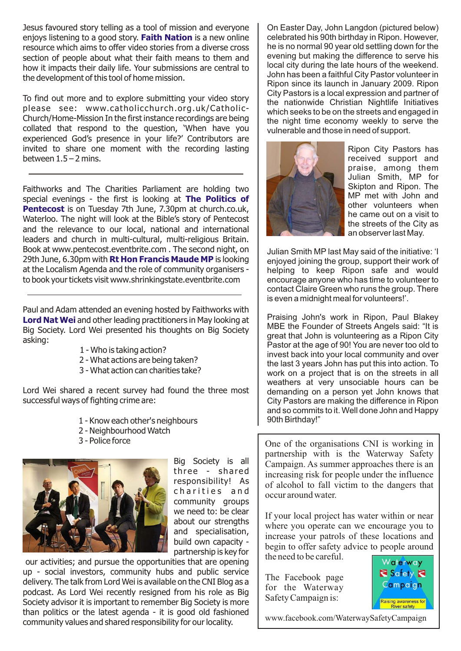Jesus favoured story telling as a tool of mission and everyone enjoys listening to a good story. Faith Nation is a new online resource which aims to offer video stories from a diverse cross section of people about what their faith means to them and how it impacts their daily life. Your submissions are central to the development of this tool of home mission.

To find out more and to explore submitting your video story please see: www.catholicchurch.org.uk/Catholic-Church/Home-Mission In the first instance recordings are being collated that respond to the question, 'When have you experienced God's presence in your life?' Contributors are invited to share one moment with the recording lasting between  $1.5 - 2$  mins.

Faithworks and The Charities Parliament are holding two special evenings - the first is looking at **The Politics of Pentecost** is on Tuesday 7th June, 7.30pm at church.co.uk, Waterloo. The night will look at the Bible's story of Pentecost and the relevance to our local, national and international leaders and church in multi-cultural, multi-religious Britain. Book at www.pentecost.eventbrite.com . The second night, on 29th June, 6.30pm with **Rt Hon Francis Maude MP** is looking at the Localism Agenda and the role of community organisers to book your tickets visit www.shrinkingstate.eventbrite.com

Paul and Adam attended an evening hosted by Faithworks with **Lord Nat Wei** and other leading practitioners in May looking at Big Society. Lord Wei presented his thoughts on Big Society asking:

- 1 Who is taking action?
- 2 What actions are being taken?
- 3 What action can charities take?

Lord Wei shared a recent survey had found the three most successful ways of fighting crime are:

- 1 Know each other's neighbours
- 2 Neighbourhood Watch
- 3 Police force



Big Society is all three - shared responsibility! As charities and community groups we need to: be clear about our strengths and specialisation, build own capacity partnership is key for

our activities; and pursue the opportunities that are opening up - social investors, community hubs and public service delivery. The talk from Lord Wei is available on the CNI Blog as a podcast. As Lord Wei recently resigned from his role as Big Society advisor it is important to remember Big Society is more than politics or the latest agenda - it is good old fashioned community values and shared responsibility for our locality.

On Easter Day, John Langdon (pictured below) celebrated his 90th birthday in Ripon. However, he is no normal 90 year old settling down for the evening but making the difference to serve his local city during the late hours of the weekend. John has been a faithful City Pastor volunteer in Ripon since its launch in January 2009. Ripon City Pastors is a local expression and partner of the nationwide Christian Nightlife Initiatives which seeks to be on the streets and engaged in the night time economy weekly to serve the vulnerable and those in need of support.



Ripon City Pastors has received support and praise, among them Julian Smith, MP for Skipton and Ripon. The MP met with John and other volunteers when he came out on a visit to the streets of the City as an observer last May.

Julian Smith MP last May said of the initiative: 'I enjoyed joining the group, support their work of helping to keep Ripon safe and would encourage anyone who has time to volunteer to contact Claire Green who runs the group. There is even a midnight meal for volunteers!'.

Praising John's work in Ripon, Paul Blakey MBE the Founder of Streets Angels said: "It is great that John is volunteering as a Ripon City Pastor at the age of 90! You are never too old to invest back into your local community and over the last 3 years John has put this into action. To work on a project that is on the streets in all weathers at very unsociable hours can be demanding on a person yet John knows that City Pastors are making the difference in Ripon and so commits to it. Well done John and Happy 90th Birthday!"

One of the organisations CNI is working in partnership with is the Waterway Safety Campaign. As summer approaches there is an increasing risk for people under the influence of alcohol to fall victim to the dangers that occur around water.

If your local project has water within or near where you operate can we encourage you to increase your patrols of these locations and begin to offer safety advice to people around the need to be careful.

The Facebook page for the Waterway Safety Campaign is:



www.facebook.com/WaterwaySafetyCampaign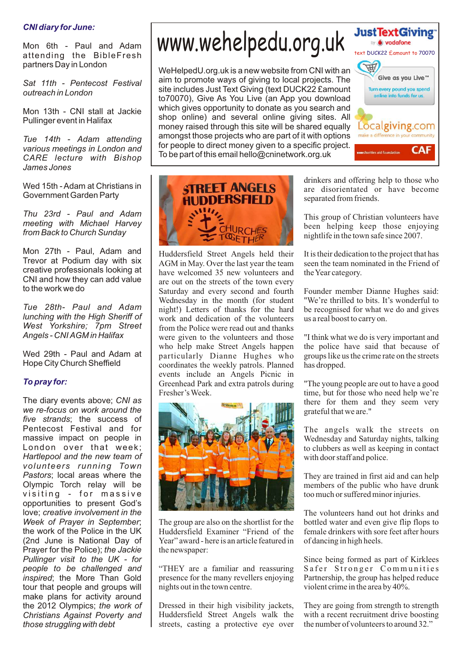## *CNI diary for June:*

Mon 6th - Paul and Adam attending the BibleFresh partners Day in London

*Sat 11th - Pentecost Festival outreach in London*

Mon 13th - CNI stall at Jackie Pullinger event in Halifax

*Tue 14th - Adam attending various meetings in London and CARE lecture with Bishop James Jones*

Wed 15th - Adam at Christians in Government Garden Party

*Thu 23rd - Paul and Adam meeting with Michael Harvey from Back to Church Sunday*

Mon 27th - Paul, Adam and Trevor at Podium day with six creative professionals looking at CNI and how they can add value to the work we do

*Tue 28th- Paul and Adam lunching with the High Sheriff of West Yorkshire; 7pm Street Angels - CNI AGM in Halifax*

Wed 29th - Paul and Adam at Hope City Church Sheffield

# *To pray for:*

The diary events above; *CNI as we re-focus on work around the five strands*; the success of Pentecost Festival and for massive impact on people in London over that week; *Hartlepool and the new team of volunteers running Town Pastors*; local areas where the Olympic Torch relay will be visiting - for massive opportunities to present God's love; *creative involvement in the Week of Prayer in September*; the work of the Police in the UK (2nd June is National Day of Prayer for the Police); *the Jackie Pullinger visit to the UK - for people to be challenged and inspired*; the More Than Gold tour that people and groups will make plans for activity around the 2012 Olympics; *the work of Christians Against Poverty and those struggling with debt*

# www.wehelpedu.org.uk

WeHelpedU.org.uk is a new website from CNI with an aim to promote ways of giving to local projects. The site includes Just Text Giving (text DUCK22 £amount to70070), Give As You Live (an App you download which gives opportunity to donate as you search and shop online) and several online giving sites. All money raised through this site will be shared equally amongst those projects who are part of it with options for people to direct money given to a specific project. To be part of this email hello@cninetwork.org.uk



Huddersfield Street Angels held their It is their dedication to the project that has AGM in May Over the last year the team seen the team nominated in the Friend of AGM in May. Over the last year the team have welcomed 35 new volunteers and the Year category. are out on the streets of the town every Saturday and every second and fourth Founder member Dianne Hughes said:<br>Wednesday in the month (for student "We're thrilled to bits. It's wonderful to Wednesday in the month (for student "We're thrilled to bits. It's wonderful to night!) Letters of thanks for the hard be recognised for what we do and gives night!) Letters of thanks for the hard work and dedication of the volunteers us a real boost to carry on. from the Police were read out and thanks<br>were given to the volunteers and those were given to the volunteers and those "I think what we do is very important and who help make Street Angels happen the police have said that because of particularly Dianne Hughes who groups like us the crime rate on the streets coordinates the weekly patrols. Planned has dropped. events include an Angels Picnic in Greenhead Park and extra patrols during "The young people are out to have a good Fresher's Week. time, but for those who need help we're



Huddersfield Examiner "Friend of the female drinkers with sore feet after hours Year" award - here is an article featured in of dancing in high heels. the newspaper:

"THEY are a familiar and reassuring Safer Stronger Communities presence for the many revellers enjoying Partnership, the group has helped reduce nights out in the town centre. violent crime in the area by 40%.

Dressed in their high visibility jackets, They are going from strength to strength<br>Huddersfield Street Angels walk the with a recent recruitment drive boosting Huddersfield Street Angels walk the with a recent recruitment drive boosting streets casting a protective eye over the number of volunteers to around 32. streets, casting a protective eye over

drinkers and offering help to those who are disorientated or have become separated from friends.

charities aid foundation

CA

text DUCK22 £amount to 70070

Localgiving.com make a difference in your community

**CAF** 

Give as you Live™ Turn every pound you spend online into funds for us.

**Just Text Giving** by **6 vodafone** 

This group of Christian volunteers have been helping keep those enjoying nightlife in the town safe since 2007.

the police have said that because of

there for them and they seem very grateful that we are."

The angels walk the streets on Wednesday and Saturday nights, talking to clubbers as well as keeping in contact with door staff and police.

They are trained in first aid and can help members of the public who have drunk too much or suffered minor injuries.

The volunteers hand out hot drinks and The group are also on the shortlist for the bottled water and even give flip flops to

Since being formed as part of Kirklees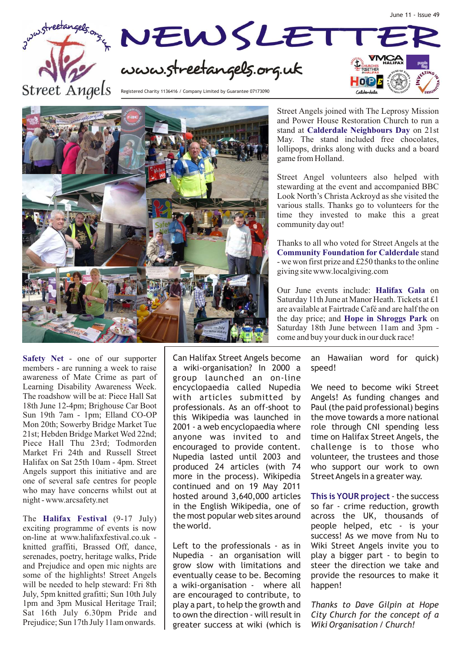



Street Angels joined with The Leprosy Mission and Power House Restoration Church to run a stand at **Calderdale Neighbours Day** on 21st May. The stand included free chocolates, lollipops, drinks along with ducks and a board game from Holland.

Street Angel volunteers also helped with stewarding at the event and accompanied BBC Look North's Christa Ackroyd as she visited the various stalls. Thanks go to volunteers for the time they invested to make this a great community day out!

Thanks to all who voted for Street Angels at the **Community Foundation for Calderdale** stand - we won first prize and £250 thanks to the online giving site www.localgiving.com

Our June events include: Halifax Gala on Saturday 11th June at Manor Heath. Tickets at £1 are available at Fairtrade Café and are half the on the day price; and **Hope in Shroggs Park** on Saturday 18th June between 11am and 3pm come and buy your duck in our duck race!

success! As we move from Nu to

**Safety Net** - one of our supporter members - are running a week to raise awareness of Mate Crime as part of Learning Disability Awareness Week. The roadshow will be at: Piece Hall Sat 18th June 12-4pm; Brighouse Car Boot Sun 19th 7am - 1pm; Elland CO-OP Mon 20th; Sowerby Bridge Market Tue 21st; Hebden Bridge Market Wed 22nd; Piece Hall Thu 23rd; Todmorden Market Fri 24th and Russell Street Halifax on Sat 25th 10am - 4pm. Street Angels support this initiative and are one of several safe centres for people who may have concerns whilst out at night - www.arcsafety.net

**Halifax Festival** The (9-17 July) exciting programme of events is now on-line at www.halifaxfestival.co.uk knitted graffiti, Brassed Off, dance, serenades, poetry, heritage walks, Pride and Prejudice and open mic nights are some of the highlights! Street Angels will be needed to help steward: Fri 8th July, 5pm knitted grafitti; Sun 10th July 1pm and 3pm Musical Heritage Trail; Sat 16th July 6.30pm Pride and Prejudice; Sun 17th July 11am onwards.

Can Halifax Street Angels become an Hawaiian word for quick) a wiki-organisation? In 2000 a speed! group launched an on-line encyclopaedia called Nupedia We need to become wiki Street with articles submitted by Angels! As funding changes and professionals. As an off-shoot to Paul (the paid professional) begins this Wikipedia was launched in the move towards a more national 2001 - a web encyclopaedia where role through CNI spending less anyone was invited to and time on Halifax Street Angels, the encouraged to provide content. challenge is to those who Nupedia lasted until 2003 and volunteer, the trustees and those produced 24 articles (with 74 who support our work to own more in the process). Wikipedia Street Angels in a greater way. continued and on 19 May 2011 hosted around 3,640,000 articles This is YOUR project - the success in the English Wikipedia, one of so far - crime reduction, growth the most popular web sites around across the UK, thousands of the world. people helped, etc - is your

Left to the professionals - as in Wiki Street Angels invite you to Nupedia - an organisation will play a bigger part - to begin to grow slow with limitations and steer the direction we take and eventually cease to be. Becoming provide the resources to make it a wiki-organisation - where all happen! are encouraged to contribute, to play a part, to help the growth and *Thanks to Dave Gilpin at Hope*  to own the direction - will result in *City Church for the concept of a*  greater success at wiki (which is *Wiki Organisation / Church!*